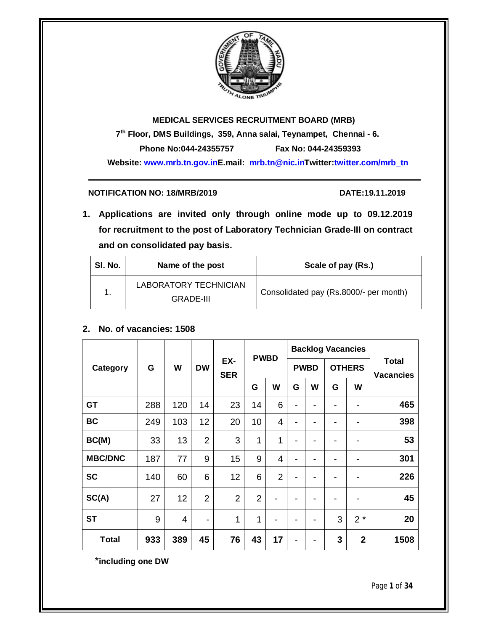

# **MEDICAL SERVICES RECRUITMENT BOARD (MRB) 7 th Floor, DMS Buildings, 359, Anna salai, Teynampet, Chennai - 6. Phone No:044-24355757 Fax No: 044-24359393 Website: www.mrb.tn.gov.inE.mail: mrb.tn@nic.inTwitter:twitter.com/mrb\_tn**

# **NOTIFICATION NO: 18/MRB/2019 DATE:19.11.2019**

**1. Applications are invited only through online mode up to 09.12.2019 for recruitment to the post of Laboratory Technician Grade-III on contract and on consolidated pay basis.**

| SI. No. | Name of the post                          | Scale of pay (Rs.)                     |
|---------|-------------------------------------------|----------------------------------------|
| 1.      | LABORATORY TECHNICIAN<br><b>GRADE-III</b> | Consolidated pay (Rs.8000/- per month) |

# **2. No. of vacancies: 1508**

|                |        |     |                |                   | <b>PWBD</b>    |                | <b>Backlog Vacancies</b> |   |               |                |                                  |
|----------------|--------|-----|----------------|-------------------|----------------|----------------|--------------------------|---|---------------|----------------|----------------------------------|
| Category       | W<br>G |     | <b>DW</b>      | EX-<br><b>SER</b> |                |                | <b>PWBD</b>              |   | <b>OTHERS</b> |                | <b>Total</b><br><b>Vacancies</b> |
|                |        |     |                |                   | G              | W              | G                        | W | G             | W              |                                  |
| GT             | 288    | 120 | 14             | 23                | 14             | 6              | -                        | - | -             |                | 465                              |
| <b>BC</b>      | 249    | 103 | 12             | 20                | 10             | 4              | ۰                        | - | -             | -              | 398                              |
| BC(M)          | 33     | 13  | $\overline{2}$ | 3                 | 1              | 1              |                          |   |               |                | 53                               |
| <b>MBC/DNC</b> | 187    | 77  | 9              | 15                | 9              | $\overline{4}$ | $\blacksquare$           | ۰ | -             | -              | 301                              |
| <b>SC</b>      | 140    | 60  | 6              | 12                | 6              | $\overline{2}$ |                          | - |               |                | 226                              |
| SC(A)          | 27     | 12  | $\overline{2}$ | $\overline{2}$    | $\overline{2}$ |                |                          |   |               |                | 45                               |
| <b>ST</b>      | 9      | 4   |                | 1                 | 1              |                |                          |   | 3             | $2*$           | 20                               |
| <b>Total</b>   | 933    | 389 | 45             | 76                | 43             | 17             |                          |   | 3             | $\overline{2}$ | 1508                             |

\***including one DW**

Page **1** of **34**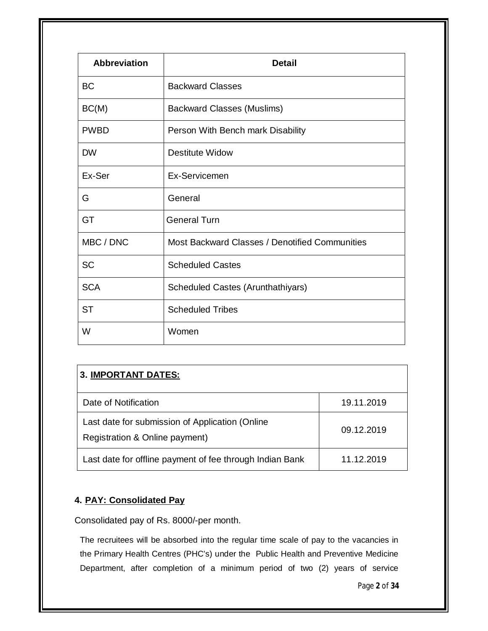| <b>Abbreviation</b> | <b>Detail</b>                                  |
|---------------------|------------------------------------------------|
| <b>BC</b>           | <b>Backward Classes</b>                        |
| BC(M)               | <b>Backward Classes (Muslims)</b>              |
| <b>PWBD</b>         | Person With Bench mark Disability              |
| <b>DW</b>           | <b>Destitute Widow</b>                         |
| Ex-Ser              | Ex-Servicemen                                  |
| G                   | General                                        |
| GT                  | <b>General Turn</b>                            |
| MBC / DNC           | Most Backward Classes / Denotified Communities |
| <b>SC</b>           | <b>Scheduled Castes</b>                        |
| <b>SCA</b>          | <b>Scheduled Castes (Arunthathiyars)</b>       |
| <b>ST</b>           | <b>Scheduled Tribes</b>                        |
| W                   | Women                                          |

| <b>3. IMPORTANT DATES:</b>                                                        |            |
|-----------------------------------------------------------------------------------|------------|
| Date of Notification                                                              | 19.11.2019 |
| Last date for submission of Application (Online<br>Registration & Online payment) | 09.12.2019 |
| Last date for offline payment of fee through Indian Bank                          | 11.12.2019 |

# **4. PAY: Consolidated Pay**

Consolidated pay of Rs. 8000/-per month.

The recruitees will be absorbed into the regular time scale of pay to the vacancies in the Primary Health Centres (PHC's) under the Public Health and Preventive Medicine Department, after completion of a minimum period of two (2) years of service

Page **2** of **34**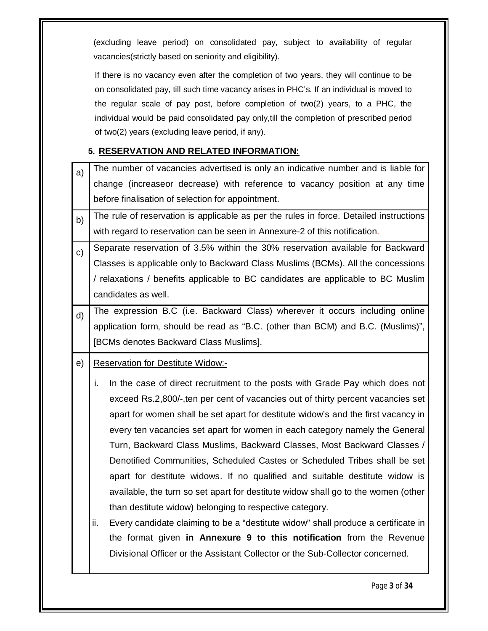(excluding leave period) on consolidated pay, subject to availability of regular vacancies(strictly based on seniority and eligibility).

If there is no vacancy even after the completion of two years, they will continue to be on consolidated pay, till such time vacancy arises in PHC's. If an individual is moved to the regular scale of pay post, before completion of two(2) years, to a PHC, the individual would be paid consolidated pay only,till the completion of prescribed period of two(2) years (excluding leave period, if any).

# **5. RESERVATION AND RELATED INFORMATION:**

| a)             | The number of vacancies advertised is only an indicative number and is liable for        |
|----------------|------------------------------------------------------------------------------------------|
|                | change (increaseor decrease) with reference to vacancy position at any time              |
|                | before finalisation of selection for appointment.                                        |
| b)             | The rule of reservation is applicable as per the rules in force. Detailed instructions   |
|                | with regard to reservation can be seen in Annexure-2 of this notification.               |
| $\mathsf{c}$ ) | Separate reservation of 3.5% within the 30% reservation available for Backward           |
|                | Classes is applicable only to Backward Class Muslims (BCMs). All the concessions         |
|                | / relaxations / benefits applicable to BC candidates are applicable to BC Muslim         |
|                | candidates as well.                                                                      |
| d)             | The expression B.C (i.e. Backward Class) wherever it occurs including online             |
|                | application form, should be read as "B.C. (other than BCM) and B.C. (Muslims)",          |
|                | [BCMs denotes Backward Class Muslims].                                                   |
| e)             | <b>Reservation for Destitute Widow:-</b>                                                 |
|                |                                                                                          |
|                | i.<br>In the case of direct recruitment to the posts with Grade Pay which does not       |
|                | exceed Rs.2,800/-, ten per cent of vacancies out of thirty percent vacancies set         |
|                | apart for women shall be set apart for destitute widow's and the first vacancy in        |
|                | every ten vacancies set apart for women in each category namely the General              |
|                | Turn, Backward Class Muslims, Backward Classes, Most Backward Classes /                  |
|                | Denotified Communities, Scheduled Castes or Scheduled Tribes shall be set                |
|                | apart for destitute widows. If no qualified and suitable destitute widow is              |
|                | available, the turn so set apart for destitute widow shall go to the women (other        |
|                | than destitute widow) belonging to respective category.                                  |
|                | ii.<br>Every candidate claiming to be a "destitute widow" shall produce a certificate in |
|                | the format given in Annexure 9 to this notification from the Revenue                     |
|                | Divisional Officer or the Assistant Collector or the Sub-Collector concerned.            |

Page **3** of **34**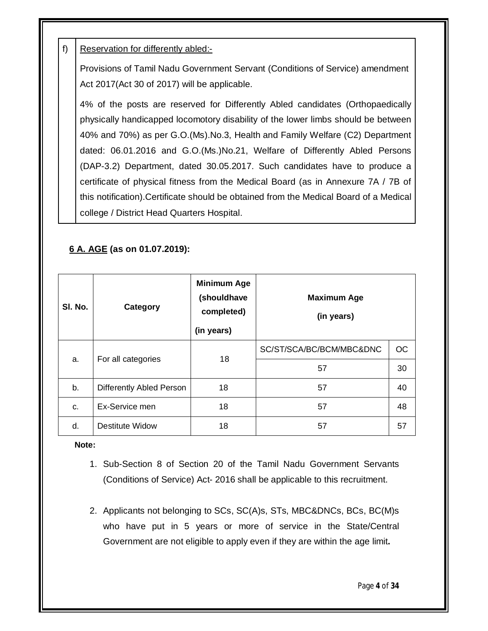# f) Reservation for differently abled:-

Provisions of Tamil Nadu Government Servant (Conditions of Service) amendment Act 2017(Act 30 of 2017) will be applicable.

4% of the posts are reserved for Differently Abled candidates (Orthopaedically physically handicapped locomotory disability of the lower limbs should be between 40% and 70%) as per G.O.(Ms).No.3, Health and Family Welfare (C2) Department dated: 06.01.2016 and G.O.(Ms.)No.21, Welfare of Differently Abled Persons (DAP-3.2) Department, dated 30.05.2017. Such candidates have to produce a certificate of physical fitness from the Medical Board (as in Annexure 7A / 7B of this notification).Certificate should be obtained from the Medical Board of a Medical college / District Head Quarters Hospital.

# **6 A. AGE (as on 01.07.2019):**

| SI. No. | <b>Category</b>          | <b>Minimum Age</b><br>(shouldhave<br>completed)<br>(in years) | <b>Maximum Age</b><br>(in years) |           |
|---------|--------------------------|---------------------------------------------------------------|----------------------------------|-----------|
|         | For all categories       | 18                                                            | SC/ST/SCA/BC/BCM/MBC&DNC         | <b>OC</b> |
| a.      |                          |                                                               | 57                               | 30        |
| b.      | Differently Abled Person | 18                                                            | 57                               | 40        |
| C.      | Ex-Service men           | 18                                                            | 57                               | 48        |
| d.      | Destitute Widow          | 18                                                            | 57                               | 57        |

**Note:**

- 1. Sub-Section 8 of Section 20 of the Tamil Nadu Government Servants (Conditions of Service) Act- 2016 shall be applicable to this recruitment.
- 2. Applicants not belonging to SCs, SC(A)s, STs, MBC&DNCs, BCs, BC(M)s who have put in 5 years or more of service in the State/Central Government are not eligible to apply even if they are within the age limit**.**

Page **4** of **34**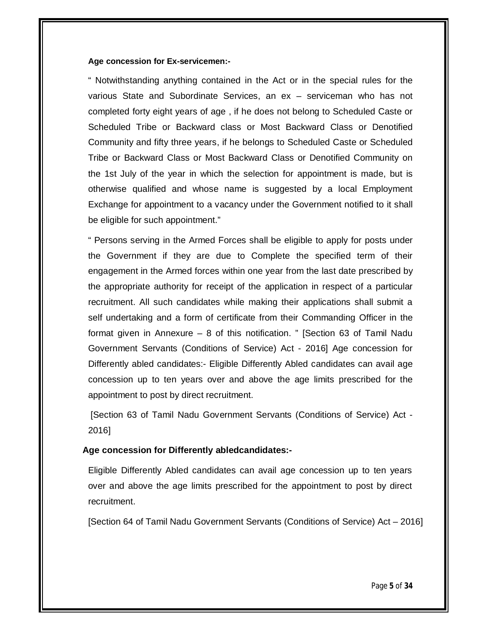#### **Age concession for Ex-servicemen:-**

" Notwithstanding anything contained in the Act or in the special rules for the various State and Subordinate Services, an ex – serviceman who has not completed forty eight years of age , if he does not belong to Scheduled Caste or Scheduled Tribe or Backward class or Most Backward Class or Denotified Community and fifty three years, if he belongs to Scheduled Caste or Scheduled Tribe or Backward Class or Most Backward Class or Denotified Community on the 1st July of the year in which the selection for appointment is made, but is otherwise qualified and whose name is suggested by a local Employment Exchange for appointment to a vacancy under the Government notified to it shall be eligible for such appointment."

" Persons serving in the Armed Forces shall be eligible to apply for posts under the Government if they are due to Complete the specified term of their engagement in the Armed forces within one year from the last date prescribed by the appropriate authority for receipt of the application in respect of a particular recruitment. All such candidates while making their applications shall submit a self undertaking and a form of certificate from their Commanding Officer in the format given in Annexure – 8 of this notification. " [Section 63 of Tamil Nadu Government Servants (Conditions of Service) Act - 2016] Age concession for Differently abled candidates:- Eligible Differently Abled candidates can avail age concession up to ten years over and above the age limits prescribed for the appointment to post by direct recruitment.

[Section 63 of Tamil Nadu Government Servants (Conditions of Service) Act - 2016]

#### **Age concession for Differently abledcandidates:-**

Eligible Differently Abled candidates can avail age concession up to ten years over and above the age limits prescribed for the appointment to post by direct recruitment.

[Section 64 of Tamil Nadu Government Servants (Conditions of Service) Act – 2016]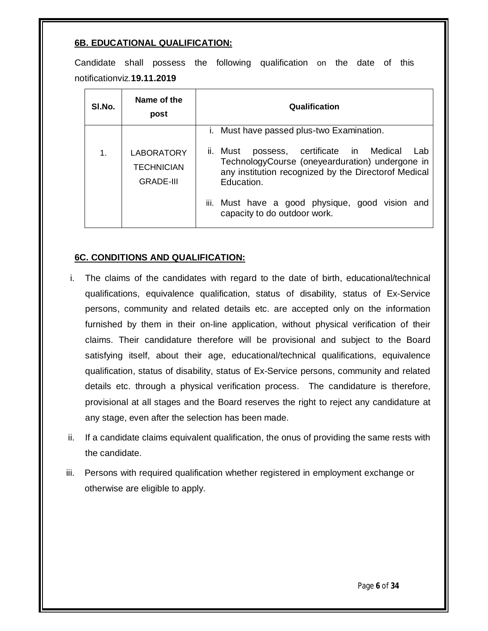# **6B. EDUCATIONAL QUALIFICATION:**

Candidate shall possess the following qualification on the date of this notificationviz*.***19.11.2019**

| SI.No. | Name of the<br>post                                        | Qualification                                                                                                                                                               |
|--------|------------------------------------------------------------|-----------------------------------------------------------------------------------------------------------------------------------------------------------------------------|
|        |                                                            | <i>i.</i> Must have passed plus-two Examination.                                                                                                                            |
| 1.     | <b>LABORATORY</b><br><b>TECHNICIAN</b><br><b>GRADE-III</b> | possess, certificate in Medical<br>ii. Must<br>Lab<br>TechnologyCourse (oneyearduration) undergone in<br>any institution recognized by the Directorof Medical<br>Education. |
|        |                                                            | iii. Must have a good physique, good vision and<br>capacity to do outdoor work.                                                                                             |

# **6C. CONDITIONS AND QUALIFICATION:**

- i. The claims of the candidates with regard to the date of birth, educational/technical qualifications, equivalence qualification, status of disability, status of Ex-Service persons, community and related details etc. are accepted only on the information furnished by them in their on-line application, without physical verification of their claims. Their candidature therefore will be provisional and subject to the Board satisfying itself, about their age, educational/technical qualifications, equivalence qualification, status of disability, status of Ex-Service persons, community and related details etc. through a physical verification process. The candidature is therefore, provisional at all stages and the Board reserves the right to reject any candidature at any stage, even after the selection has been made.
- ii. If a candidate claims equivalent qualification, the onus of providing the same rests with the candidate.
- iii. Persons with required qualification whether registered in employment exchange or otherwise are eligible to apply.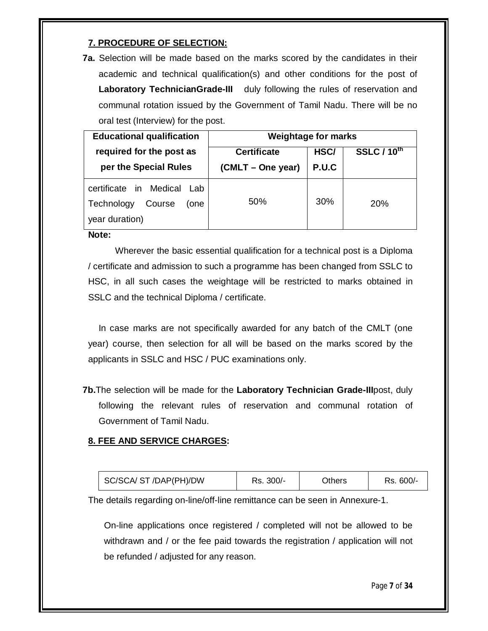# **7. PROCEDURE OF SELECTION:**

**7a.** Selection will be made based on the marks scored by the candidates in their academic and technical qualification(s) and other conditions for the post of **Laboratory TechnicianGrade-III** duly following the rules of reservation and communal rotation issued by the Government of Tamil Nadu. There will be no oral test (Interview) for the post.

| <b>Educational qualification</b>                                             | <b>Weightage for marks</b> |       |                    |  |
|------------------------------------------------------------------------------|----------------------------|-------|--------------------|--|
| required for the post as                                                     | <b>Certificate</b>         | HSC/  | <b>SSLC / 10th</b> |  |
| per the Special Rules                                                        | (CMLT – One year)          | P.U.C |                    |  |
| certificate in Medical Lab<br>Technology<br>Course<br>(one<br>year duration) | 50%                        | 30%   | <b>20%</b>         |  |

**Note:**

Wherever the basic essential qualification for a technical post is a Diploma / certificate and admission to such a programme has been changed from SSLC to HSC, in all such cases the weightage will be restricted to marks obtained in SSLC and the technical Diploma / certificate.

In case marks are not specifically awarded for any batch of the CMLT (one year) course, then selection for all will be based on the marks scored by the applicants in SSLC and HSC / PUC examinations only.

**7b.**The selection will be made for the **Laboratory Technician Grade-III**post, duly following the relevant rules of reservation and communal rotation of Government of Tamil Nadu.

# **8. FEE AND SERVICE CHARGES:**

| SC/SCA/ ST /DAP(PH)/DW | Rs. 300/- | <b>Dthers</b> | Rs. 600/- |
|------------------------|-----------|---------------|-----------|
|------------------------|-----------|---------------|-----------|

The details regarding on-line/off-line remittance can be seen in Annexure-1.

On-line applications once registered / completed will not be allowed to be withdrawn and / or the fee paid towards the registration / application will not be refunded / adjusted for any reason.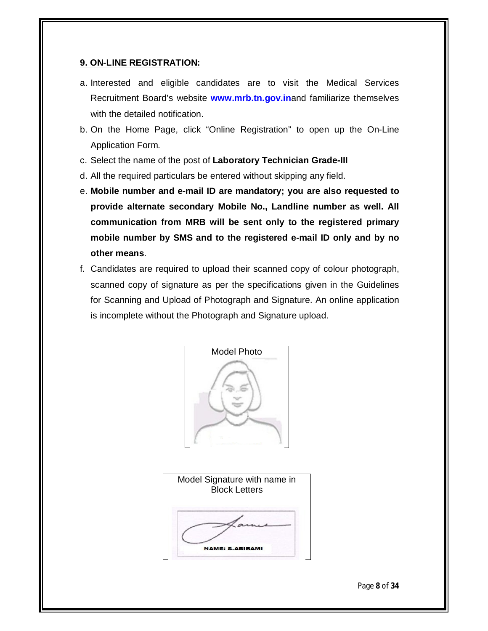## **9. ON-LINE REGISTRATION:**

- a. Interested and eligible candidates are to visit the Medical Services Recruitment Board's website **www.mrb.tn.gov.in**and familiarize themselves with the detailed notification.
- b. On the Home Page, click "Online Registration" to open up the On-Line Application Form.
- c. Select the name of the post of **Laboratory Technician Grade-III**
- d. All the required particulars be entered without skipping any field.
- e. **Mobile number and e-mail ID are mandatory; you are also requested to provide alternate secondary Mobile No., Landline number as well. All communication from MRB will be sent only to the registered primary mobile number by SMS and to the registered e-mail ID only and by no other means**.
- f. Candidates are required to upload their scanned copy of colour photograph, scanned copy of signature as per the specifications given in the Guidelines for Scanning and Upload of Photograph and Signature. An online application is incomplete without the Photograph and Signature upload.





Page **8** of **34**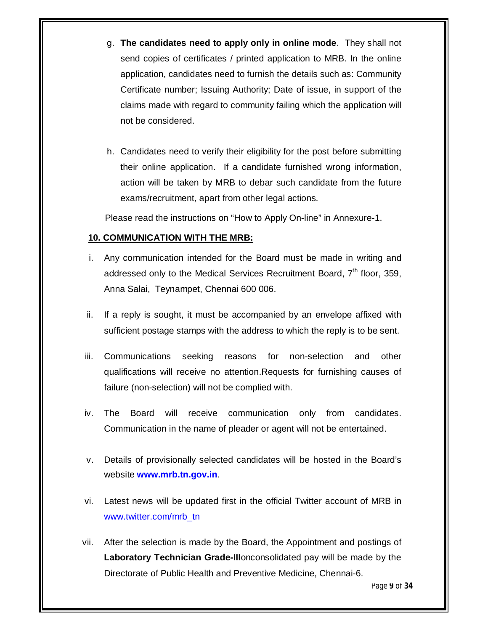- g. **The candidates need to apply only in online mode**. They shall not send copies of certificates / printed application to MRB. In the online application, candidates need to furnish the details such as: Community Certificate number; Issuing Authority; Date of issue, in support of the claims made with regard to community failing which the application will not be considered.
- h. Candidates need to verify their eligibility for the post before submitting their online application. If a candidate furnished wrong information, action will be taken by MRB to debar such candidate from the future exams/recruitment, apart from other legal actions.

Please read the instructions on "How to Apply On-line" in Annexure-1.

#### **10. COMMUNICATION WITH THE MRB:**

- i. Any communication intended for the Board must be made in writing and addressed only to the Medical Services Recruitment Board, 7<sup>th</sup> floor, 359, Anna Salai, Teynampet, Chennai 600 006.
- ii. If a reply is sought, it must be accompanied by an envelope affixed with sufficient postage stamps with the address to which the reply is to be sent.
- iii. Communications seeking reasons for non-selection and other qualifications will receive no attention.Requests for furnishing causes of failure (non-selection) will not be complied with.
- iv. The Board will receive communication only from candidates. Communication in the name of pleader or agent will not be entertained.
- v. Details of provisionally selected candidates will be hosted in the Board's website **www.mrb.tn.gov.in**.
- vi. Latest news will be updated first in the official Twitter account of MRB in www.twitter.com/mrb\_tn
- vii. After the selection is made by the Board, the Appointment and postings of **Laboratory Technician Grade-III**onconsolidated pay will be made by the Directorate of Public Health and Preventive Medicine, Chennai-6.

Page **9** of **34**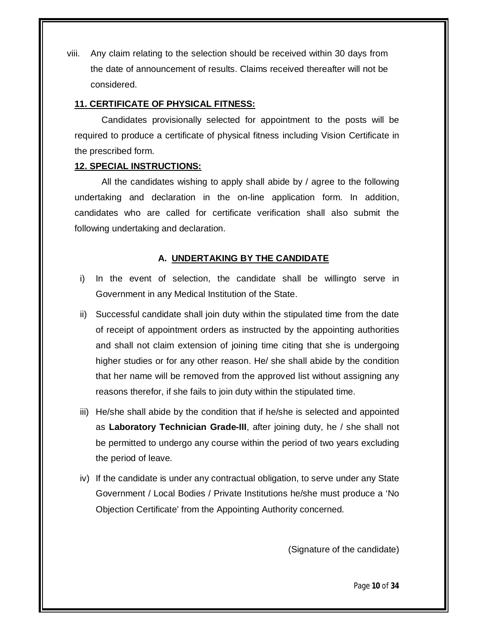viii. Any claim relating to the selection should be received within 30 days from the date of announcement of results. Claims received thereafter will not be considered.

#### **11. CERTIFICATE OF PHYSICAL FITNESS:**

Candidates provisionally selected for appointment to the posts will be required to produce a certificate of physical fitness including Vision Certificate in the prescribed form.

## **12. SPECIAL INSTRUCTIONS:**

All the candidates wishing to apply shall abide by / agree to the following undertaking and declaration in the on-line application form. In addition, candidates who are called for certificate verification shall also submit the following undertaking and declaration.

## **A. UNDERTAKING BY THE CANDIDATE**

- i) In the event of selection, the candidate shall be willingto serve in Government in any Medical Institution of the State.
- ii) Successful candidate shall join duty within the stipulated time from the date of receipt of appointment orders as instructed by the appointing authorities and shall not claim extension of joining time citing that she is undergoing higher studies or for any other reason. He/ she shall abide by the condition that her name will be removed from the approved list without assigning any reasons therefor, if she fails to join duty within the stipulated time.
- iii) He/she shall abide by the condition that if he/she is selected and appointed as **Laboratory Technician Grade-III**, after joining duty, he / she shall not be permitted to undergo any course within the period of two years excluding the period of leave.
- iv) If the candidate is under any contractual obligation, to serve under any State Government / Local Bodies / Private Institutions he/she must produce a 'No Objection Certificate' from the Appointing Authority concerned.

(Signature of the candidate)

Page **10** of **34**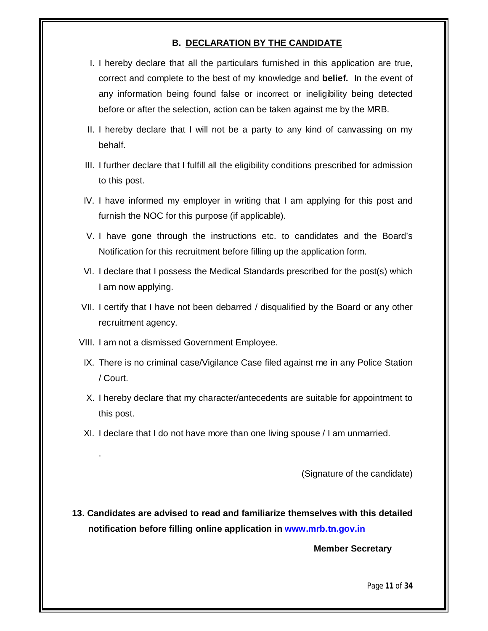## **B. DECLARATION BY THE CANDIDATE**

- I. I hereby declare that all the particulars furnished in this application are true, correct and complete to the best of my knowledge and **belief.** In the event of any information being found false or incorrect or ineligibility being detected before or after the selection, action can be taken against me by the MRB.
- II. I hereby declare that I will not be a party to any kind of canvassing on my behalf.
- III. I further declare that I fulfill all the eligibility conditions prescribed for admission to this post.
- IV. I have informed my employer in writing that I am applying for this post and furnish the NOC for this purpose (if applicable).
- V. I have gone through the instructions etc. to candidates and the Board's Notification for this recruitment before filling up the application form.
- VI. I declare that I possess the Medical Standards prescribed for the post(s) which I am now applying.
- VII. I certify that I have not been debarred / disqualified by the Board or any other recruitment agency.
- VIII. I am not a dismissed Government Employee.

.

- IX. There is no criminal case/Vigilance Case filed against me in any Police Station / Court.
- X. I hereby declare that my character/antecedents are suitable for appointment to this post.
- XI. I declare that I do not have more than one living spouse / I am unmarried.

(Signature of the candidate)

**13. Candidates are advised to read and familiarize themselves with this detailed notification before filling online application in www.mrb.tn.gov.in**

 **Member Secretary**

Page **11** of **34**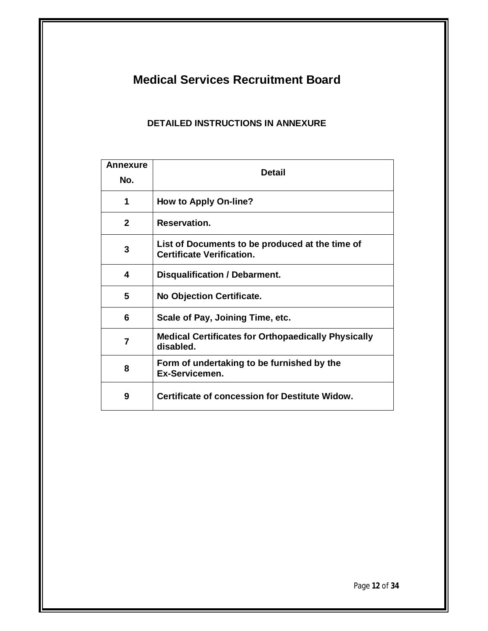# **Medical Services Recruitment Board**

# **DETAILED INSTRUCTIONS IN ANNEXURE**

| Annexure<br>No. | Detail                                                                              |  |
|-----------------|-------------------------------------------------------------------------------------|--|
|                 |                                                                                     |  |
| 1               | <b>How to Apply On-line?</b>                                                        |  |
| $\overline{2}$  | Reservation.                                                                        |  |
| 3               | List of Documents to be produced at the time of<br><b>Certificate Verification.</b> |  |
| 4               | Disqualification / Debarment.                                                       |  |
| 5               | No Objection Certificate.                                                           |  |
| 6               | Scale of Pay, Joining Time, etc.                                                    |  |
| $\overline{7}$  | <b>Medical Certificates for Orthopaedically Physically</b><br>disabled.             |  |
| 8               | Form of undertaking to be furnished by the<br>Ex-Servicemen.                        |  |
| 9               | <b>Certificate of concession for Destitute Widow.</b>                               |  |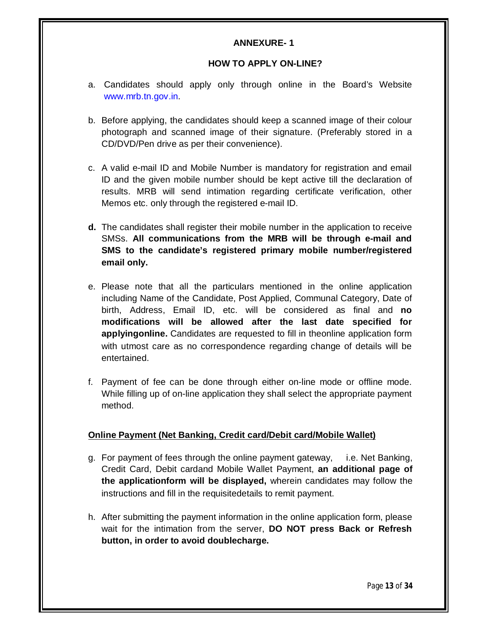## **ANNEXURE- 1**

#### **HOW TO APPLY ON-LINE?**

- a. Candidates should apply only through online in the Board's Website www.mrb.tn.gov.in.
- b. Before applying, the candidates should keep a scanned image of their colour photograph and scanned image of their signature. (Preferably stored in a CD/DVD/Pen drive as per their convenience).
- c. A valid e-mail ID and Mobile Number is mandatory for registration and email ID and the given mobile number should be kept active till the declaration of results. MRB will send intimation regarding certificate verification, other Memos etc. only through the registered e-mail ID.
- **d.** The candidates shall register their mobile number in the application to receive SMSs. **All communications from the MRB will be through e-mail and SMS to the candidate's registered primary mobile number/registered email only.**
- e. Please note that all the particulars mentioned in the online application including Name of the Candidate, Post Applied, Communal Category, Date of birth, Address, Email ID, etc. will be considered as final and **no modifications will be allowed after the last date specified for applyingonline.** Candidates are requested to fill in theonline application form with utmost care as no correspondence regarding change of details will be entertained.
- f. Payment of fee can be done through either on-line mode or offline mode. While filling up of on-line application they shall select the appropriate payment method.

## **Online Payment (Net Banking, Credit card/Debit card/Mobile Wallet)**

- g. For payment of fees through the online payment gateway, i.e. Net Banking, Credit Card, Debit cardand Mobile Wallet Payment, **an additional page of the applicationform will be displayed,** wherein candidates may follow the instructions and fill in the requisitedetails to remit payment.
- h. After submitting the payment information in the online application form, please wait for the intimation from the server, **DO NOT press Back or Refresh button, in order to avoid doublecharge.**

Page **13** of **34**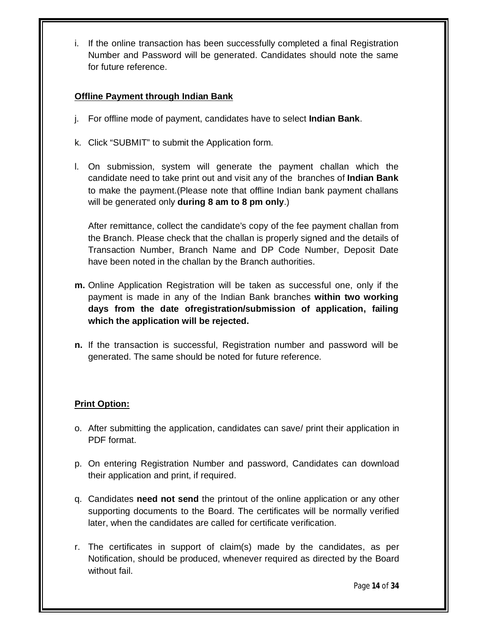i. If the online transaction has been successfully completed a final Registration Number and Password will be generated. Candidates should note the same for future reference.

# **Offline Payment through Indian Bank**

- j. For offline mode of payment, candidates have to select **Indian Bank**.
- k. Click "SUBMIT" to submit the Application form.
- l. On submission, system will generate the payment challan which the candidate need to take print out and visit any of the branches of **Indian Bank** to make the payment.(Please note that offline Indian bank payment challans will be generated only **during 8 am to 8 pm only**.)

After remittance, collect the candidate's copy of the fee payment challan from the Branch. Please check that the challan is properly signed and the details of Transaction Number, Branch Name and DP Code Number, Deposit Date have been noted in the challan by the Branch authorities.

- **m.** Online Application Registration will be taken as successful one, only if the payment is made in any of the Indian Bank branches **within two working days from the date ofregistration/submission of application, failing which the application will be rejected.**
- **n.** If the transaction is successful, Registration number and password will be generated. The same should be noted for future reference.

# **Print Option:**

- o. After submitting the application, candidates can save/ print their application in PDF format.
- p. On entering Registration Number and password, Candidates can download their application and print, if required.
- q. Candidates **need not send** the printout of the online application or any other supporting documents to the Board. The certificates will be normally verified later, when the candidates are called for certificate verification.
- r. The certificates in support of claim(s) made by the candidates, as per Notification, should be produced, whenever required as directed by the Board without fail.

Page **14** of **34**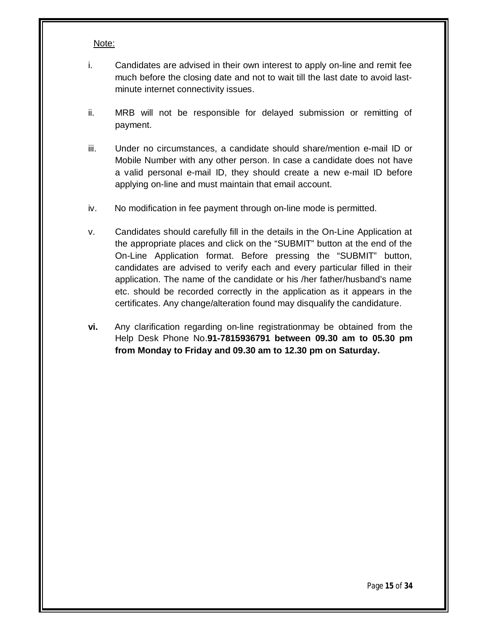#### Note:

- i. Candidates are advised in their own interest to apply on-line and remit fee much before the closing date and not to wait till the last date to avoid lastminute internet connectivity issues.
- ii. MRB will not be responsible for delayed submission or remitting of payment.
- iii. Under no circumstances, a candidate should share/mention e-mail ID or Mobile Number with any other person. In case a candidate does not have a valid personal e-mail ID, they should create a new e-mail ID before applying on-line and must maintain that email account.
- iv. No modification in fee payment through on-line mode is permitted.
- v. Candidates should carefully fill in the details in the On-Line Application at the appropriate places and click on the "SUBMIT" button at the end of the On-Line Application format. Before pressing the "SUBMIT" button, candidates are advised to verify each and every particular filled in their application. The name of the candidate or his /her father/husband's name etc. should be recorded correctly in the application as it appears in the certificates. Any change/alteration found may disqualify the candidature.
- **vi.** Any clarification regarding on-line registrationmay be obtained from the Help Desk Phone No.**91-7815936791 between 09.30 am to 05.30 pm from Monday to Friday and 09.30 am to 12.30 pm on Saturday.**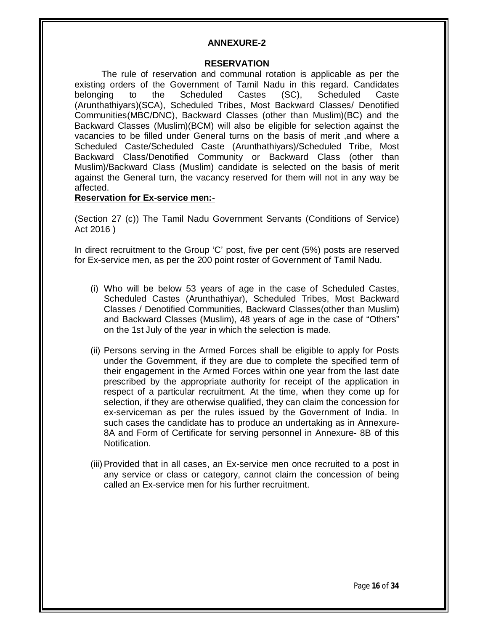#### **ANNEXURE-2**

#### **RESERVATION**

The rule of reservation and communal rotation is applicable as per the existing orders of the Government of Tamil Nadu in this regard. Candidates belonging to the Scheduled Castes (SC), Scheduled Caste (Arunthathiyars)(SCA), Scheduled Tribes, Most Backward Classes/ Denotified Communities(MBC/DNC), Backward Classes (other than Muslim)(BC) and the Backward Classes (Muslim)(BCM) will also be eligible for selection against the vacancies to be filled under General turns on the basis of merit ,and where a Scheduled Caste/Scheduled Caste (Arunthathiyars)/Scheduled Tribe, Most Backward Class/Denotified Community or Backward Class (other than Muslim)/Backward Class (Muslim) candidate is selected on the basis of merit against the General turn, the vacancy reserved for them will not in any way be affected.

#### **Reservation for Ex-service men:-**

(Section 27 (c)) The Tamil Nadu Government Servants (Conditions of Service) Act 2016 )

In direct recruitment to the Group 'C' post, five per cent (5%) posts are reserved for Ex-service men, as per the 200 point roster of Government of Tamil Nadu.

- (i) Who will be below 53 years of age in the case of Scheduled Castes, Scheduled Castes (Arunthathiyar), Scheduled Tribes, Most Backward Classes / Denotified Communities, Backward Classes(other than Muslim) and Backward Classes (Muslim), 48 years of age in the case of "Others" on the 1st July of the year in which the selection is made.
- (ii) Persons serving in the Armed Forces shall be eligible to apply for Posts under the Government, if they are due to complete the specified term of their engagement in the Armed Forces within one year from the last date prescribed by the appropriate authority for receipt of the application in respect of a particular recruitment. At the time, when they come up for selection, if they are otherwise qualified, they can claim the concession for ex-serviceman as per the rules issued by the Government of India. In such cases the candidate has to produce an undertaking as in Annexure-8A and Form of Certificate for serving personnel in Annexure- 8B of this Notification.
- (iii)Provided that in all cases, an Ex-service men once recruited to a post in any service or class or category, cannot claim the concession of being called an Ex-service men for his further recruitment.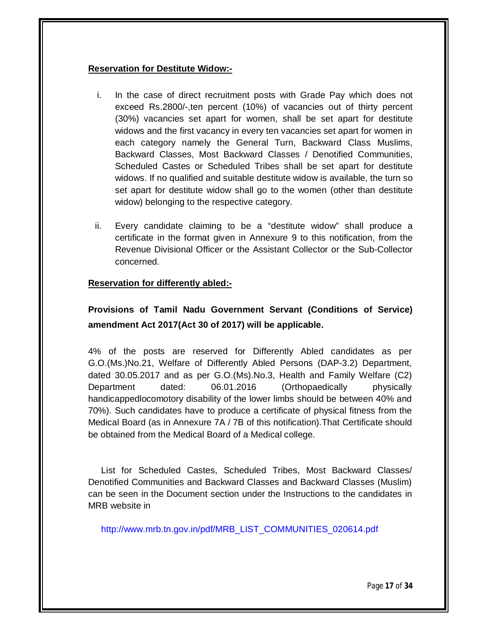## **Reservation for Destitute Widow:-**

- i. In the case of direct recruitment posts with Grade Pay which does not exceed Rs.2800/-,ten percent (10%) of vacancies out of thirty percent (30%) vacancies set apart for women, shall be set apart for destitute widows and the first vacancy in every ten vacancies set apart for women in each category namely the General Turn, Backward Class Muslims, Backward Classes, Most Backward Classes / Denotified Communities, Scheduled Castes or Scheduled Tribes shall be set apart for destitute widows. If no qualified and suitable destitute widow is available, the turn so set apart for destitute widow shall go to the women (other than destitute widow) belonging to the respective category.
- ii. Every candidate claiming to be a "destitute widow" shall produce a certificate in the format given in Annexure 9 to this notification, from the Revenue Divisional Officer or the Assistant Collector or the Sub-Collector concerned.

## **Reservation for differently abled:-**

# **Provisions of Tamil Nadu Government Servant (Conditions of Service) amendment Act 2017(Act 30 of 2017) will be applicable.**

4% of the posts are reserved for Differently Abled candidates as per G.O.(Ms.)No.21, Welfare of Differently Abled Persons (DAP-3.2) Department, dated 30.05.2017 and as per G.O.(Ms).No.3, Health and Family Welfare (C2) Department dated: 06.01.2016 (Orthopaedically physically handicappedlocomotory disability of the lower limbs should be between 40% and 70%). Such candidates have to produce a certificate of physical fitness from the Medical Board (as in Annexure 7A / 7B of this notification).That Certificate should be obtained from the Medical Board of a Medical college.

List for Scheduled Castes, Scheduled Tribes, Most Backward Classes/ Denotified Communities and Backward Classes and Backward Classes (Muslim) can be seen in the Document section under the Instructions to the candidates in MRB website in

http://www.mrb.tn.gov.in/pdf/MRB\_LIST\_COMMUNITIES\_020614.pdf

Page **17** of **34**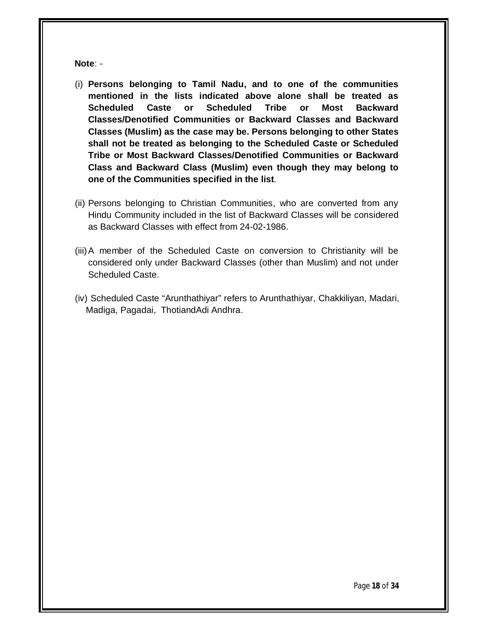**Note**: -

- (i) **Persons belonging to Tamil Nadu, and to one of the communities mentioned in the lists indicated above alone shall be treated as Scheduled Caste or Scheduled Tribe or Most Backward Classes/Denotified Communities or Backward Classes and Backward Classes (Muslim) as the case may be. Persons belonging to other States shall not be treated as belonging to the Scheduled Caste or Scheduled Tribe or Most Backward Classes/Denotified Communities or Backward Class and Backward Class (Muslim) even though they may belong to one of the Communities specified in the list**.
- (ii) Persons belonging to Christian Communities, who are converted from any Hindu Community included in the list of Backward Classes will be considered as Backward Classes with effect from 24-02-1986.
- (iii)A member of the Scheduled Caste on conversion to Christianity will be considered only under Backward Classes (other than Muslim) and not under Scheduled Caste.
- (iv) Scheduled Caste "Arunthathiyar" refers to Arunthathiyar, Chakkiliyan, Madari, Madiga, Pagadai, ThotiandAdi Andhra.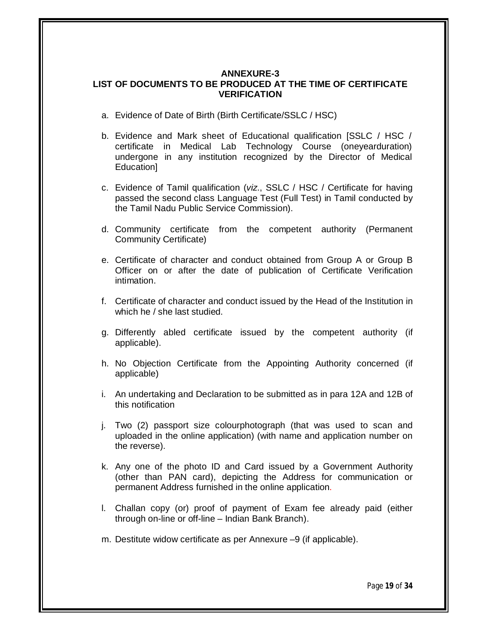## **ANNEXURE-3 LIST OF DOCUMENTS TO BE PRODUCED AT THE TIME OF CERTIFICATE VERIFICATION**

- a. Evidence of Date of Birth (Birth Certificate/SSLC / HSC)
- b. Evidence and Mark sheet of Educational qualification [SSLC / HSC / certificate in Medical Lab Technology Course (oneyearduration) undergone in any institution recognized by the Director of Medical Education]
- c. Evidence of Tamil qualification (*viz*., SSLC / HSC / Certificate for having passed the second class Language Test (Full Test) in Tamil conducted by the Tamil Nadu Public Service Commission).
- d. Community certificate from the competent authority (Permanent Community Certificate)
- e. Certificate of character and conduct obtained from Group A or Group B Officer on or after the date of publication of Certificate Verification intimation.
- f. Certificate of character and conduct issued by the Head of the Institution in which he / she last studied.
- g. Differently abled certificate issued by the competent authority (if applicable).
- h. No Objection Certificate from the Appointing Authority concerned (if applicable)
- i. An undertaking and Declaration to be submitted as in para 12A and 12B of this notification
- j. Two (2) passport size colourphotograph (that was used to scan and uploaded in the online application) (with name and application number on the reverse).
- k. Any one of the photo ID and Card issued by a Government Authority (other than PAN card), depicting the Address for communication or permanent Address furnished in the online application.
- l. Challan copy (or) proof of payment of Exam fee already paid (either through on-line or off-line – Indian Bank Branch).
- m. Destitute widow certificate as per Annexure –9 (if applicable).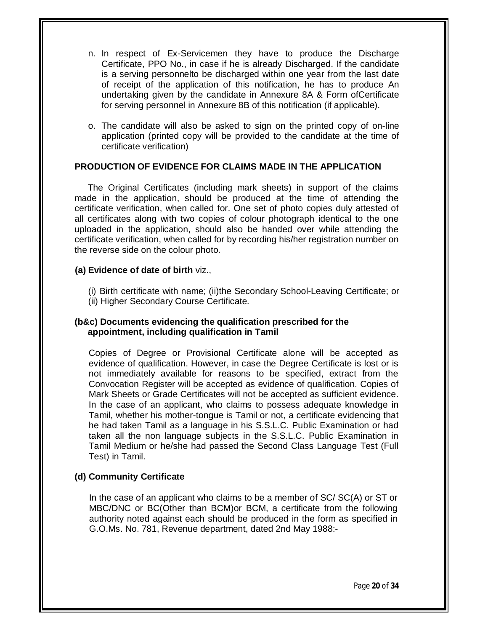- n. In respect of Ex-Servicemen they have to produce the Discharge Certificate, PPO No., in case if he is already Discharged. If the candidate is a serving personnelto be discharged within one year from the last date of receipt of the application of this notification, he has to produce An undertaking given by the candidate in Annexure 8A & Form ofCertificate for serving personnel in Annexure 8B of this notification (if applicable).
- o. The candidate will also be asked to sign on the printed copy of on-line application (printed copy will be provided to the candidate at the time of certificate verification)

## **PRODUCTION OF EVIDENCE FOR CLAIMS MADE IN THE APPLICATION**

The Original Certificates (including mark sheets) in support of the claims made in the application, should be produced at the time of attending the certificate verification, when called for. One set of photo copies duly attested of all certificates along with two copies of colour photograph identical to the one uploaded in the application, should also be handed over while attending the certificate verification, when called for by recording his/her registration number on the reverse side on the colour photo.

## **(a) Evidence of date of birth** viz.,

(i) Birth certificate with name; (ii)the Secondary School-Leaving Certificate; or (ii) Higher Secondary Course Certificate.

## **(b&c) Documents evidencing the qualification prescribed for the appointment, including qualification in Tamil**

Copies of Degree or Provisional Certificate alone will be accepted as evidence of qualification. However, in case the Degree Certificate is lost or is not immediately available for reasons to be specified, extract from the Convocation Register will be accepted as evidence of qualification. Copies of Mark Sheets or Grade Certificates will not be accepted as sufficient evidence. In the case of an applicant, who claims to possess adequate knowledge in Tamil, whether his mother-tongue is Tamil or not, a certificate evidencing that he had taken Tamil as a language in his S.S.L.C. Public Examination or had taken all the non language subjects in the S.S.L.C. Public Examination in Tamil Medium or he/she had passed the Second Class Language Test (Full Test) in Tamil.

## **(d) Community Certificate**

In the case of an applicant who claims to be a member of SC/ SC(A) or ST or MBC/DNC or BC(Other than BCM)or BCM, a certificate from the following authority noted against each should be produced in the form as specified in G.O.Ms. No. 781, Revenue department, dated 2nd May 1988:-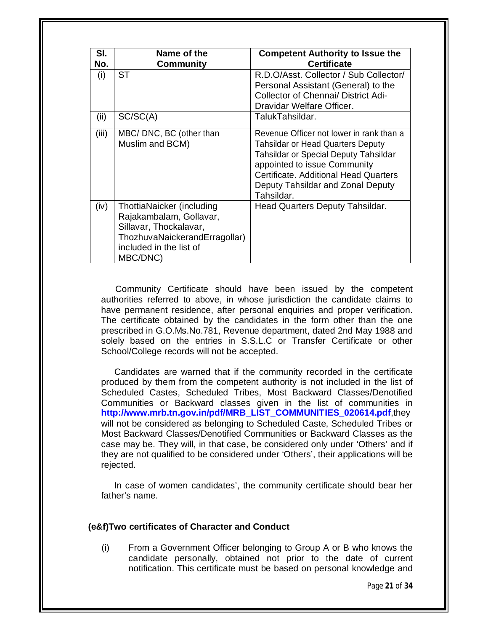| SI.<br>No. | Name of the<br><b>Community</b>                                                                                                                        | <b>Competent Authority to Issue the</b><br><b>Certificate</b>                                                                                                                                                                                             |
|------------|--------------------------------------------------------------------------------------------------------------------------------------------------------|-----------------------------------------------------------------------------------------------------------------------------------------------------------------------------------------------------------------------------------------------------------|
| (i)        | <b>ST</b>                                                                                                                                              | R.D.O/Asst. Collector / Sub Collector/<br>Personal Assistant (General) to the<br><b>Collector of Chennai/ District Adi-</b><br>Dravidar Welfare Officer.                                                                                                  |
| (ii)       | SC/SC(A)                                                                                                                                               | TalukTahsildar.                                                                                                                                                                                                                                           |
| (iii)      | MBC/ DNC, BC (other than<br>Muslim and BCM)                                                                                                            | Revenue Officer not lower in rank than a<br><b>Tahsildar or Head Quarters Deputy</b><br>Tahsildar or Special Deputy Tahsildar<br>appointed to issue Community<br>Certificate, Additional Head Quarters<br>Deputy Tahsildar and Zonal Deputy<br>Tahsildar. |
| (iv)       | ThottiaNaicker (including<br>Rajakambalam, Gollavar,<br>Sillavar, Thockalavar,<br>ThozhuvaNaickerandErragollar)<br>included in the list of<br>MBC/DNC) | Head Quarters Deputy Tahsildar.                                                                                                                                                                                                                           |

Community Certificate should have been issued by the competent authorities referred to above, in whose jurisdiction the candidate claims to have permanent residence, after personal enquiries and proper verification. The certificate obtained by the candidates in the form other than the one prescribed in G.O.Ms.No.781, Revenue department, dated 2nd May 1988 and solely based on the entries in S.S.L.C or Transfer Certificate or other School/College records will not be accepted.

Candidates are warned that if the community recorded in the certificate produced by them from the competent authority is not included in the list of Scheduled Castes, Scheduled Tribes, Most Backward Classes/Denotified Communities or Backward classes given in the list of communities in **http://www.mrb.tn.gov.in/pdf/MRB\_LIST\_COMMUNITIES\_020614.pdf**,they will not be considered as belonging to Scheduled Caste, Scheduled Tribes or Most Backward Classes/Denotified Communities or Backward Classes as the case may be. They will, in that case, be considered only under 'Others' and if they are not qualified to be considered under 'Others', their applications will be rejected.

In case of women candidates', the community certificate should bear her father's name.

#### **(e&f)Two certificates of Character and Conduct**

(i) From a Government Officer belonging to Group A or B who knows the candidate personally, obtained not prior to the date of current notification. This certificate must be based on personal knowledge and

Page **21** of **34**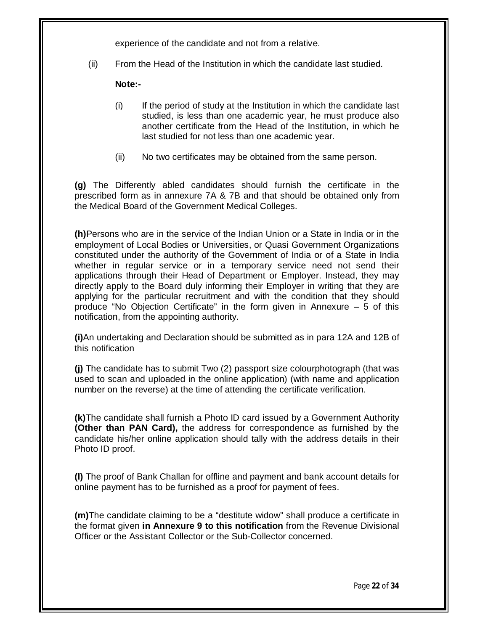experience of the candidate and not from a relative.

(ii) From the Head of the Institution in which the candidate last studied.

**Note:-**

- $(i)$  If the period of study at the Institution in which the candidate last studied, is less than one academic year, he must produce also another certificate from the Head of the Institution, in which he last studied for not less than one academic year.
- (ii) No two certificates may be obtained from the same person.

**(g)** The Differently abled candidates should furnish the certificate in the prescribed form as in annexure 7A & 7B and that should be obtained only from the Medical Board of the Government Medical Colleges.

**(h)**Persons who are in the service of the Indian Union or a State in India or in the employment of Local Bodies or Universities, or Quasi Government Organizations constituted under the authority of the Government of India or of a State in India whether in regular service or in a temporary service need not send their applications through their Head of Department or Employer. Instead, they may directly apply to the Board duly informing their Employer in writing that they are applying for the particular recruitment and with the condition that they should produce "No Objection Certificate" in the form given in Annexure  $-5$  of this notification, from the appointing authority.

**(i)**An undertaking and Declaration should be submitted as in para 12A and 12B of this notification

**(j)** The candidate has to submit Two (2) passport size colourphotograph (that was used to scan and uploaded in the online application) (with name and application number on the reverse) at the time of attending the certificate verification.

**(k)**The candidate shall furnish a Photo ID card issued by a Government Authority **(Other than PAN Card),** the address for correspondence as furnished by the candidate his/her online application should tally with the address details in their Photo ID proof.

**(l)** The proof of Bank Challan for offline and payment and bank account details for online payment has to be furnished as a proof for payment of fees.

**(m)**The candidate claiming to be a "destitute widow" shall produce a certificate in the format given **in Annexure 9 to this notification** from the Revenue Divisional Officer or the Assistant Collector or the Sub-Collector concerned.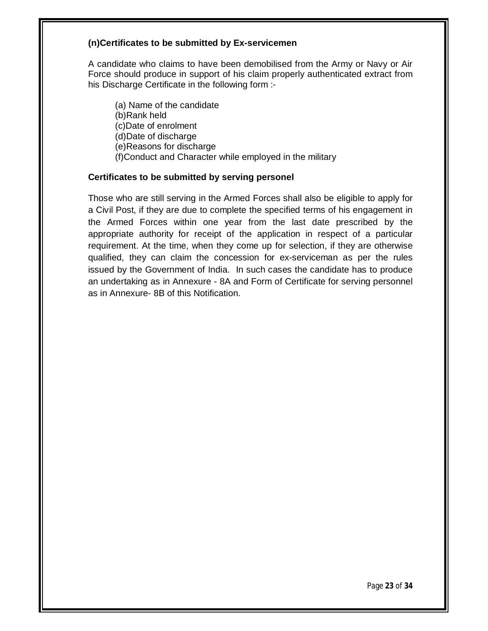### **(n)Certificates to be submitted by Ex-servicemen**

A candidate who claims to have been demobilised from the Army or Navy or Air Force should produce in support of his claim properly authenticated extract from his Discharge Certificate in the following form :-

(a) Name of the candidate (b)Rank held (c)Date of enrolment (d)Date of discharge (e)Reasons for discharge (f)Conduct and Character while employed in the military

#### **Certificates to be submitted by serving personel**

Those who are still serving in the Armed Forces shall also be eligible to apply for a Civil Post, if they are due to complete the specified terms of his engagement in the Armed Forces within one year from the last date prescribed by the appropriate authority for receipt of the application in respect of a particular requirement. At the time, when they come up for selection, if they are otherwise qualified, they can claim the concession for ex-serviceman as per the rules issued by the Government of India. In such cases the candidate has to produce an undertaking as in Annexure - 8A and Form of Certificate for serving personnel as in Annexure- 8B of this Notification.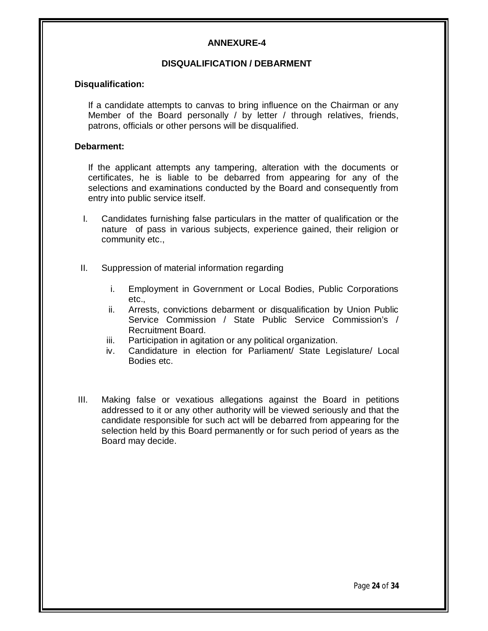## **ANNEXURE-4**

## **DISQUALIFICATION / DEBARMENT**

#### **Disqualification:**

If a candidate attempts to canvas to bring influence on the Chairman or any Member of the Board personally / by letter / through relatives, friends, patrons, officials or other persons will be disqualified.

#### **Debarment:**

If the applicant attempts any tampering, alteration with the documents or certificates, he is liable to be debarred from appearing for any of the selections and examinations conducted by the Board and consequently from entry into public service itself.

- I. Candidates furnishing false particulars in the matter of qualification or the nature of pass in various subjects, experience gained, their religion or community etc.,
- II. Suppression of material information regarding
	- i. Employment in Government or Local Bodies, Public Corporations etc.,
	- ii. Arrests, convictions debarment or disqualification by Union Public Service Commission / State Public Service Commission's / Recruitment Board.
	- iii. Participation in agitation or any political organization.
	- iv. Candidature in election for Parliament/ State Legislature/ Local Bodies etc.
- III. Making false or vexatious allegations against the Board in petitions addressed to it or any other authority will be viewed seriously and that the candidate responsible for such act will be debarred from appearing for the selection held by this Board permanently or for such period of years as the Board may decide.

Page **24** of **34**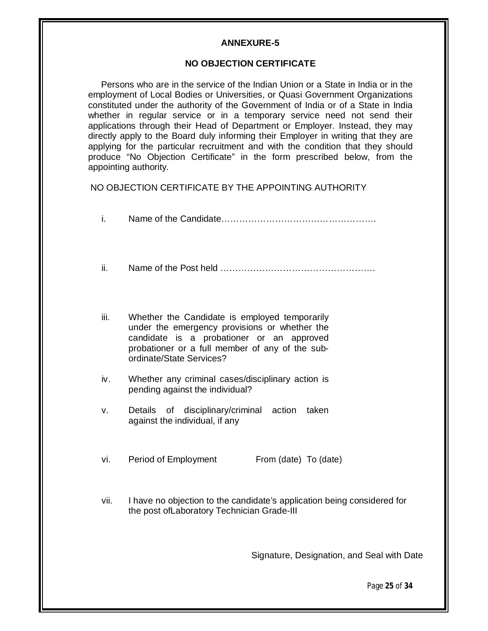#### **ANNEXURE-5**

#### **NO OBJECTION CERTIFICATE**

Persons who are in the service of the Indian Union or a State in India or in the employment of Local Bodies or Universities, or Quasi Government Organizations constituted under the authority of the Government of India or of a State in India whether in regular service or in a temporary service need not send their applications through their Head of Department or Employer. Instead, they may directly apply to the Board duly informing their Employer in writing that they are applying for the particular recruitment and with the condition that they should produce "No Objection Certificate" in the form prescribed below, from the appointing authority.

NO OBJECTION CERTIFICATE BY THE APPOINTING AUTHORITY

| i.   |                                                                                                                                                                                                                            |
|------|----------------------------------------------------------------------------------------------------------------------------------------------------------------------------------------------------------------------------|
| ii.  |                                                                                                                                                                                                                            |
| iii. | Whether the Candidate is employed temporarily<br>under the emergency provisions or whether the<br>candidate is a probationer or an approved<br>probationer or a full member of any of the sub-<br>ordinate/State Services? |
| iv.  | Whether any criminal cases/disciplinary action is<br>pending against the individual?                                                                                                                                       |
| v.   | of disciplinary/criminal action<br><b>Details</b><br>taken<br>against the individual, if any                                                                                                                               |
| vi.  | Period of Employment<br>From (date) To (date)                                                                                                                                                                              |
| vii. | I have no objection to the candidate's application being considered for<br>the post of Laboratory Technician Grade-III                                                                                                     |

Signature, Designation, and Seal with Date

Page **25** of **34**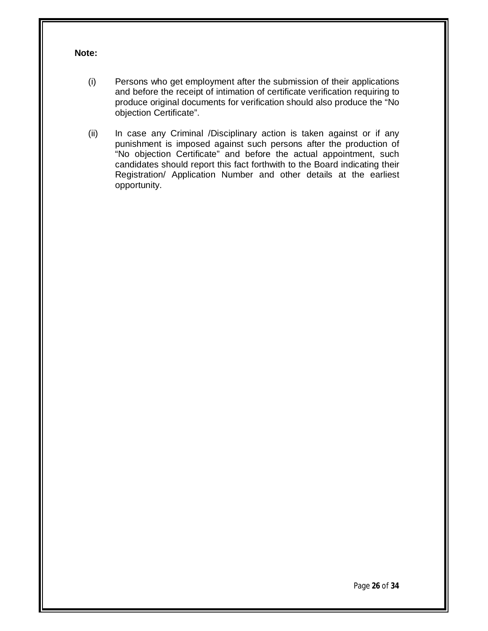## **Note:**

- (i) Persons who get employment after the submission of their applications and before the receipt of intimation of certificate verification requiring to produce original documents for verification should also produce the "No objection Certificate".
- (ii) In case any Criminal /Disciplinary action is taken against or if any punishment is imposed against such persons after the production of "No objection Certificate" and before the actual appointment, such candidates should report this fact forthwith to the Board indicating their Registration/ Application Number and other details at the earliest opportunity.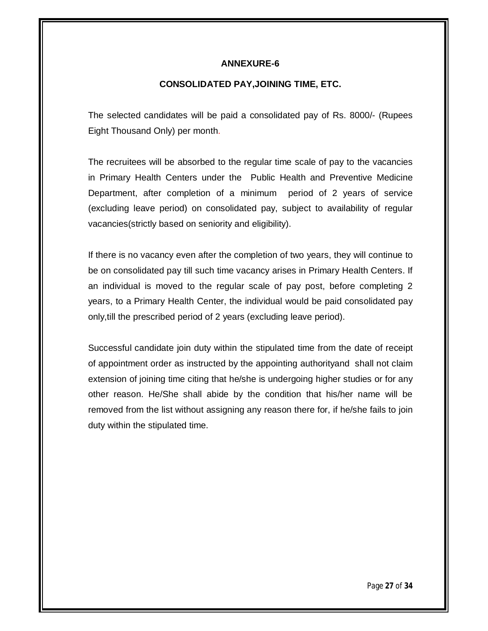#### **ANNEXURE-6**

### **CONSOLIDATED PAY,JOINING TIME, ETC.**

The selected candidates will be paid a consolidated pay of Rs. 8000/- (Rupees Eight Thousand Only) per month.

The recruitees will be absorbed to the regular time scale of pay to the vacancies in Primary Health Centers under the Public Health and Preventive Medicine Department, after completion of a minimum period of 2 years of service (excluding leave period) on consolidated pay, subject to availability of regular vacancies(strictly based on seniority and eligibility).

If there is no vacancy even after the completion of two years, they will continue to be on consolidated pay till such time vacancy arises in Primary Health Centers. If an individual is moved to the regular scale of pay post, before completing 2 years, to a Primary Health Center, the individual would be paid consolidated pay only,till the prescribed period of 2 years (excluding leave period).

Successful candidate join duty within the stipulated time from the date of receipt of appointment order as instructed by the appointing authorityand shall not claim extension of joining time citing that he/she is undergoing higher studies or for any other reason. He/She shall abide by the condition that his/her name will be removed from the list without assigning any reason there for, if he/she fails to join duty within the stipulated time.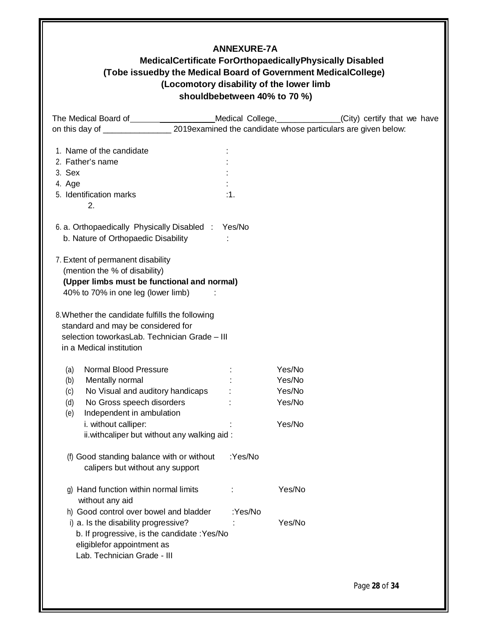# **ANNEXURE-7A**

# **MedicalCertificate ForOrthopaedicallyPhysically Disabled (Tobe issuedby the Medical Board of Government MedicalCollege) (Locomotory disability of the lower limb shouldbebetween 40% to 70 %)**

| The Medical Board of <b>Fig. 1.1 August 2018</b>                                      |         |        | Medical College, _____________(City) certify that we have |
|---------------------------------------------------------------------------------------|---------|--------|-----------------------------------------------------------|
|                                                                                       |         |        |                                                           |
| 1. Name of the candidate                                                              |         |        |                                                           |
| 2. Father's name                                                                      |         |        |                                                           |
| 3. Sex                                                                                |         |        |                                                           |
| 4. Age                                                                                |         |        |                                                           |
| 5. Identification marks                                                               | :1.     |        |                                                           |
| 2.                                                                                    |         |        |                                                           |
| 6. a. Orthopaedically Physically Disabled : Yes/No                                    |         |        |                                                           |
| b. Nature of Orthopaedic Disability                                                   |         |        |                                                           |
| 7. Extent of permanent disability                                                     |         |        |                                                           |
| (mention the % of disability)                                                         |         |        |                                                           |
| (Upper limbs must be functional and normal)                                           |         |        |                                                           |
| 40% to 70% in one leg (lower limb)                                                    |         |        |                                                           |
|                                                                                       |         |        |                                                           |
| 8. Whether the candidate fulfills the following<br>standard and may be considered for |         |        |                                                           |
| selection toworkasLab. Technician Grade - III                                         |         |        |                                                           |
| in a Medical institution                                                              |         |        |                                                           |
|                                                                                       |         |        |                                                           |
| <b>Normal Blood Pressure</b><br>(a)                                                   |         | Yes/No |                                                           |
| Mentally normal<br>(b)                                                                |         | Yes/No |                                                           |
| No Visual and auditory handicaps<br>(c)                                               |         | Yes/No |                                                           |
| No Gross speech disorders<br>(d)                                                      |         | Yes/No |                                                           |
| Independent in ambulation<br>(e)                                                      |         |        |                                                           |
| i. without calliper:                                                                  |         | Yes/No |                                                           |
| ii. withcaliper but without any walking aid:                                          |         |        |                                                           |
| (f) Good standing balance with or without                                             | :Yes/No |        |                                                           |
| calipers but without any support                                                      |         |        |                                                           |
| g) Hand function within normal limits                                                 |         | Yes/No |                                                           |
| without any aid                                                                       |         |        |                                                           |
| h) Good control over bowel and bladder                                                | :Yes/No |        |                                                           |
| i) a. Is the disability progressive?                                                  |         | Yes/No |                                                           |
| b. If progressive, is the candidate : Yes/No                                          |         |        |                                                           |
| eligiblefor appointment as                                                            |         |        |                                                           |
| Lab. Technician Grade - III                                                           |         |        |                                                           |
|                                                                                       |         |        |                                                           |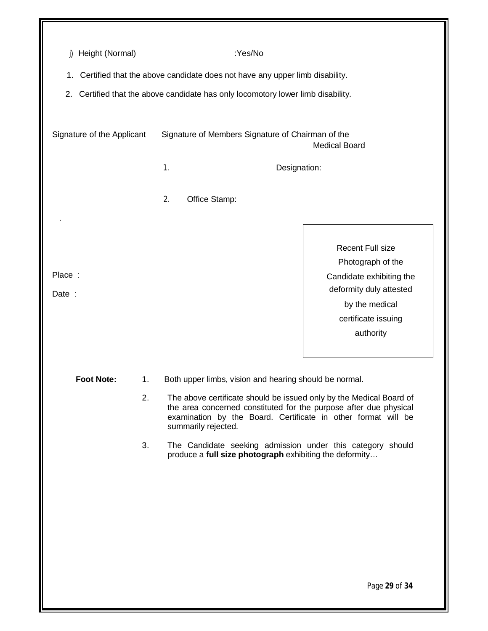| Height (Normal)<br>j)      |    | :Yes/No                                                                                                                                                                                                                          |                                              |
|----------------------------|----|----------------------------------------------------------------------------------------------------------------------------------------------------------------------------------------------------------------------------------|----------------------------------------------|
| 1.                         |    | Certified that the above candidate does not have any upper limb disability.                                                                                                                                                      |                                              |
|                            |    | 2. Certified that the above candidate has only locomotory lower limb disability.                                                                                                                                                 |                                              |
|                            |    |                                                                                                                                                                                                                                  |                                              |
| Signature of the Applicant |    | Signature of Members Signature of Chairman of the                                                                                                                                                                                | <b>Medical Board</b>                         |
|                            |    | 1.<br>Designation:                                                                                                                                                                                                               |                                              |
|                            |    |                                                                                                                                                                                                                                  |                                              |
|                            |    | 2.<br>Office Stamp:                                                                                                                                                                                                              |                                              |
|                            |    |                                                                                                                                                                                                                                  |                                              |
|                            |    |                                                                                                                                                                                                                                  | <b>Recent Full size</b><br>Photograph of the |
| Place:                     |    |                                                                                                                                                                                                                                  | Candidate exhibiting the                     |
| Date :                     |    |                                                                                                                                                                                                                                  | deformity duly attested                      |
|                            |    |                                                                                                                                                                                                                                  | by the medical                               |
|                            |    |                                                                                                                                                                                                                                  | certificate issuing                          |
|                            |    |                                                                                                                                                                                                                                  | authority                                    |
|                            |    |                                                                                                                                                                                                                                  |                                              |
| <b>Foot Note:</b>          | 1. | Both upper limbs, vision and hearing should be normal.                                                                                                                                                                           |                                              |
|                            | 2. | The above certificate should be issued only by the Medical Board of<br>the area concerned constituted for the purpose after due physical<br>examination by the Board. Certificate in other format will be<br>summarily rejected. |                                              |
|                            | 3. | The Candidate seeking admission under this category should<br>produce a full size photograph exhibiting the deformity                                                                                                            |                                              |
|                            |    |                                                                                                                                                                                                                                  |                                              |
|                            |    |                                                                                                                                                                                                                                  |                                              |
|                            |    |                                                                                                                                                                                                                                  |                                              |
|                            |    |                                                                                                                                                                                                                                  |                                              |
|                            |    |                                                                                                                                                                                                                                  |                                              |
|                            |    |                                                                                                                                                                                                                                  |                                              |
|                            |    |                                                                                                                                                                                                                                  | Page 29 of 34                                |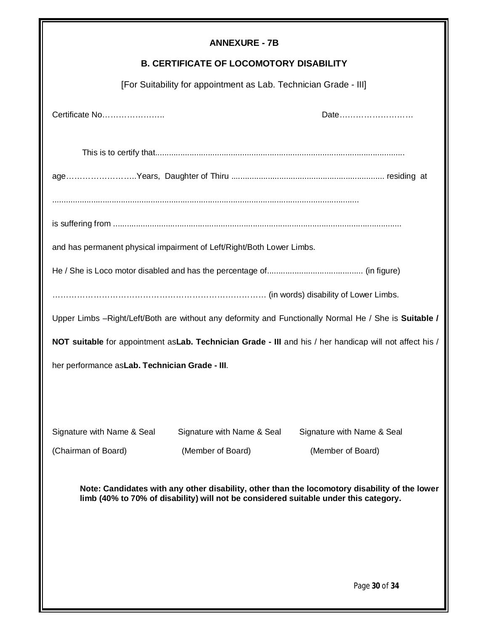| <b>ANNEXURE - 7B</b>                                                                                                                                                                  |                                                                       |                                                                                                       |  |  |  |  |
|---------------------------------------------------------------------------------------------------------------------------------------------------------------------------------------|-----------------------------------------------------------------------|-------------------------------------------------------------------------------------------------------|--|--|--|--|
| <b>B. CERTIFICATE OF LOCOMOTORY DISABILITY</b>                                                                                                                                        |                                                                       |                                                                                                       |  |  |  |  |
| [For Suitability for appointment as Lab. Technician Grade - III]                                                                                                                      |                                                                       |                                                                                                       |  |  |  |  |
| Certificate No                                                                                                                                                                        | Date                                                                  |                                                                                                       |  |  |  |  |
|                                                                                                                                                                                       |                                                                       |                                                                                                       |  |  |  |  |
|                                                                                                                                                                                       |                                                                       |                                                                                                       |  |  |  |  |
|                                                                                                                                                                                       |                                                                       |                                                                                                       |  |  |  |  |
|                                                                                                                                                                                       | and has permanent physical impairment of Left/Right/Both Lower Limbs. |                                                                                                       |  |  |  |  |
|                                                                                                                                                                                       |                                                                       |                                                                                                       |  |  |  |  |
|                                                                                                                                                                                       |                                                                       |                                                                                                       |  |  |  |  |
|                                                                                                                                                                                       |                                                                       | Upper Limbs -Right/Left/Both are without any deformity and Functionally Normal He / She is Suitable / |  |  |  |  |
| NOT suitable for appointment as Lab. Technician Grade - III and his / her handicap will not affect his /                                                                              |                                                                       |                                                                                                       |  |  |  |  |
| her performance as Lab. Technician Grade - III.                                                                                                                                       |                                                                       |                                                                                                       |  |  |  |  |
|                                                                                                                                                                                       |                                                                       |                                                                                                       |  |  |  |  |
|                                                                                                                                                                                       |                                                                       |                                                                                                       |  |  |  |  |
| Signature with Name & Seal                                                                                                                                                            | Signature with Name & Seal                                            | Signature with Name & Seal                                                                            |  |  |  |  |
| (Chairman of Board)                                                                                                                                                                   | (Member of Board)                                                     | (Member of Board)                                                                                     |  |  |  |  |
| Note: Candidates with any other disability, other than the locomotory disability of the lower<br>limb (40% to 70% of disability) will not be considered suitable under this category. |                                                                       |                                                                                                       |  |  |  |  |
|                                                                                                                                                                                       |                                                                       |                                                                                                       |  |  |  |  |
|                                                                                                                                                                                       |                                                                       |                                                                                                       |  |  |  |  |
|                                                                                                                                                                                       |                                                                       | Page 30 of 34                                                                                         |  |  |  |  |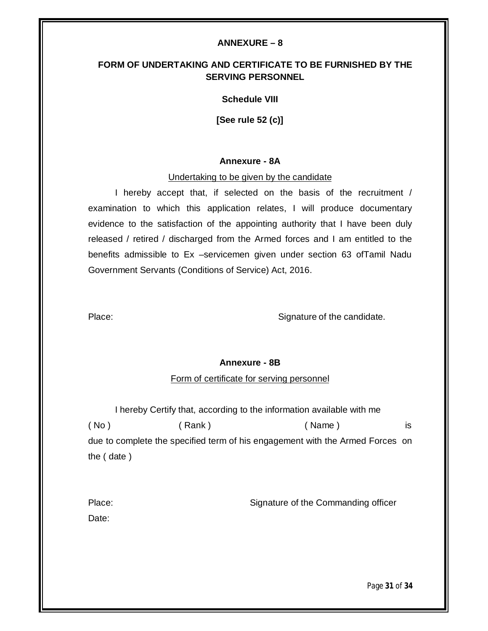#### **ANNEXURE – 8**

## **FORM OF UNDERTAKING AND CERTIFICATE TO BE FURNISHED BY THE SERVING PERSONNEL**

#### **Schedule VIII**

**[See rule 52 (c)]**

#### **Annexure - 8A**

#### Undertaking to be given by the candidate

I hereby accept that, if selected on the basis of the recruitment / examination to which this application relates, I will produce documentary evidence to the satisfaction of the appointing authority that I have been duly released / retired / discharged from the Armed forces and I am entitled to the benefits admissible to Ex –servicemen given under section 63 ofTamil Nadu Government Servants (Conditions of Service) Act, 2016.

Place: Signature of the candidate.

#### **Annexure - 8B**

## Form of certificate for serving personnel

I hereby Certify that, according to the information available with me ( No ) ( Rank ) ( Name ) is due to complete the specified term of his engagement with the Armed Forces on the ( date )

| Place: | Signature of the Commanding officer |
|--------|-------------------------------------|
| Date:  |                                     |

Page **31** of **34**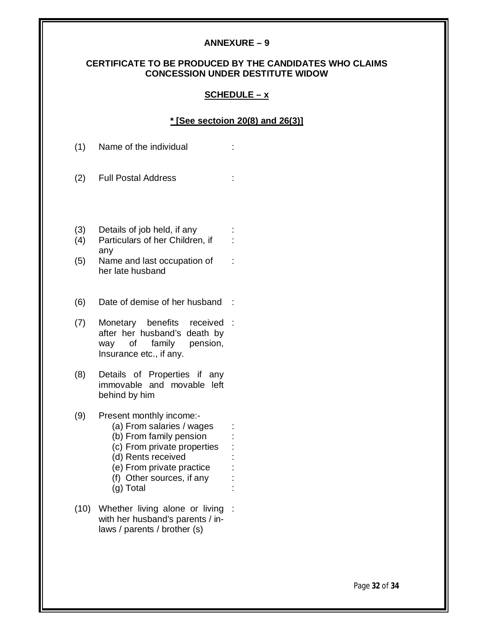#### **ANNEXURE – 9**

#### **CERTIFICATE TO BE PRODUCED BY THE CANDIDATES WHO CLAIMS CONCESSION UNDER DESTITUTE WIDOW**

#### **SCHEDULE – x**

#### **\* [See sectoion 20(8) and 26(3)]**

:

:

- (1) Name of the individual :
- (2) Full Postal Address :
- (3) Details of job held, if any :
- (4) Particulars of her Children, if any
- (5) Name and last occupation of her late husband
- (6) Date of demise of her husband :
- (7) Monetary benefits received : after her husband's death by way of family pension, Insurance etc., if any.
- (8) Details of Properties if any immovable and movable left behind by him
- (9) Present monthly income:-
	- (a) From salaries / wages :
		- (b) From family pension :
		- (c) From private properties
	- (d) Rents received
	- (e) From private practice :
	- (f) Other sources, if any :
	- (g) Total :
- (10) Whether living alone or living :with her husband's parents / inlaws / parents / brother (s)

Page **32** of **34**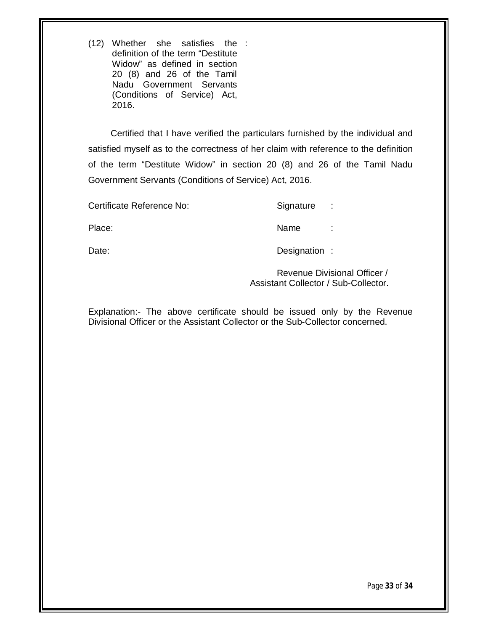(12) Whether she satisfies the : definition of the term "Destitute Widow" as defined in section 20 (8) and 26 of the Tamil Nadu Government Servants (Conditions of Service) Act, 2016.

 Certified that I have verified the particulars furnished by the individual and satisfied myself as to the correctness of her claim with reference to the definition of the term "Destitute Widow" in section 20 (8) and 26 of the Tamil Nadu Government Servants (Conditions of Service) Act, 2016.

Certificate Reference No: Signature :

Place: Name : Name : Name : Name : Name : Name : Name : Name : Name : Name : Name :  $\sim$  Name :  $\sim$  Name :  $\sim$  Name :  $\sim$  Name :  $\sim$  Name :  $\sim$  Name :  $\sim$  Name :  $\sim$  Name :  $\sim$  Name :  $\sim$  Name :  $\sim$  Name :  $\sim$  N

Date: Date: Designation :

Revenue Divisional Officer / Assistant Collector / Sub-Collector.

Explanation:- The above certificate should be issued only by the Revenue Divisional Officer or the Assistant Collector or the Sub-Collector concerned.